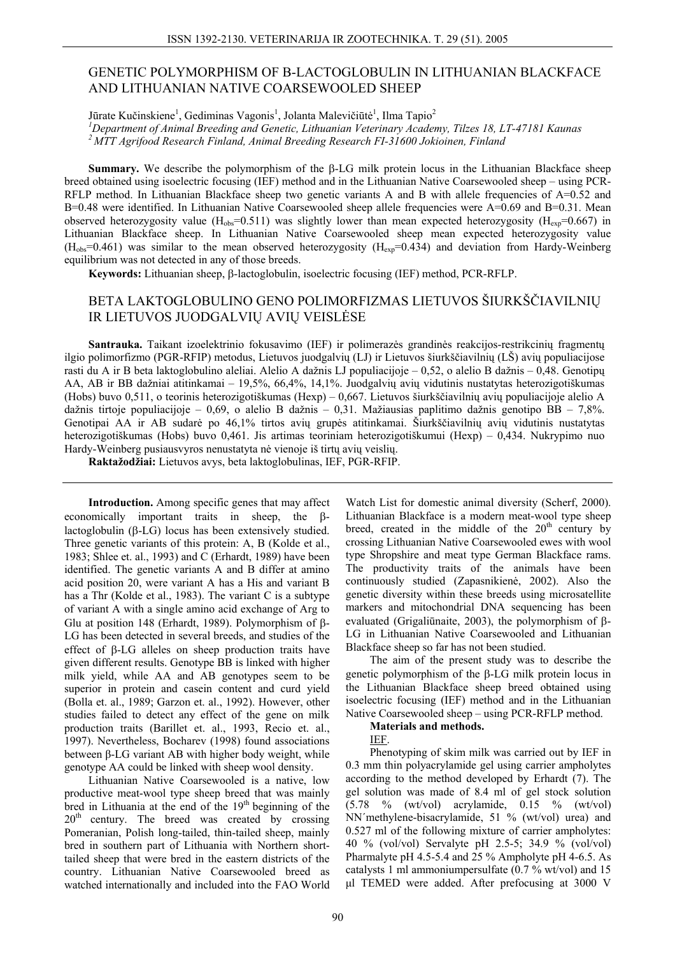## **GENETIC POLYMORPHISM OF B-LACTOGLOBULIN IN LITHUANIAN BLACKFACE** AND LITHUANIAN NATIVE COARSEWOOLED SHEEP

Jūrate Kučinskiene<sup>1</sup>, Gediminas Vagonis<sup>1</sup>, Jolanta Malevičiūtė<sup>1</sup>, Ilma Tapio<sup>2</sup>

<sup>1</sup>Department of Animal Breeding and Genetic, Lithuanian Veterinary Academy, Tilzes 18, LT-47181 Kaunas  $2$ MTT Agrifood Research Finland, Animal Breeding Research FI-31600 Jokioinen, Finland

Summary. We describe the polymorphism of the B-LG milk protein locus in the Lithuanian Blackface sheep breed obtained using isoelectric focusing (IEF) method and in the Lithuanian Native Coarsewooled sheep – using PCR-RFLP method. In Lithuanian Blackface sheep two genetic variants A and B with allele frequencies of  $A=0.52$  and  $B=0.48$  were identified. In Lithuanian Native Coarsewooled sheep allele frequencies were  $A=0.69$  and  $B=0.31$ . Mean observed heterozygosity value (H<sub>obs</sub>=0.511) was slightly lower than mean expected heterozygosity (H<sub>exp</sub>=0.667) in Lithuanian Blackface sheep. In Lithuanian Native Coarsewooled sheep mean expected heterozygosity value  $(H_{obs}=0.461)$  was similar to the mean observed heterozygosity  $(H_{exp}=0.434)$  and deviation from Hardy-Weinberg equilibrium was not detected in any of those breeds.

**Keywords:** Lithuanian sheep, B-lactoglobulin, isoelectric focusing (IEF) method, PCR-RFLP.

# BETA LAKTOGLOBULINO GENO POLIMORFIZMAS LIETUVOS ŠIURKŠČIAVILNIŲ IR LIETUVOS JUODGALVIŲ AVIŲ VEISLĖSE

Santrauka. Taikant izoelektrinio fokusavimo (IEF) ir polimerazės grandinės reakcijos-restrikcinių fragmentų ilgio polimorfizmo (PGR-RFIP) metodus, Lietuvos juodgalvių (LJ) ir Lietuvos šiurkščiavilnių (LŠ) avių populiacijose rasti du A ir B beta laktoglobulino aleliai. Alelio A dažnis LJ populiacijoje – 0,52, o alelio B dažnis – 0,48. Genotipu AA, AB ir BB dažniai atitinkamai – 19,5%, 66,4%, 14,1%. Juodgalvių avių vidutinis nustatytas heterozigotiškumas (Hobs) buvo 0,511, o teorinis heterozigotiškumas (Hexp) – 0,667. Lietuvos šiurkščiavilnių avių populiacijoje alelio A dažnis tirtoje populiacijoje – 0,69, o alelio B dažnis – 0,31. Mažiausias paplitimo dažnis genotipo BB – 7,8%. Genotipai AA ir AB sudarė po 46,1% tirtos avių grupės atitinkamai. Šiurkščiavilnių avių vidutinis nustatytas heterozigotiškumas (Hobs) buvo 0,461. Jis artimas teoriniam heterozigotiškumui (Hexp) – 0,434. Nukrypimo nuo Hardy-Weinberg pusiaus vyros nenustatyta nė vienoje iš tirtų avių veislių.

Raktažodžiai: Lietuvos avys, beta laktoglobulinas, IEF, PGR-RFIP.

Introduction. Among specific genes that may affect economically important traits in sheep, the Blactoglobulin  $(\beta$ -LG) locus has been extensively studied. Three genetic variants of this protein: A, B (Kolde et al., 1983; Shlee et. al., 1993) and C (Erhardt, 1989) have been identified. The genetic variants A and B differ at amino acid position 20, were variant A has a His and variant B has a Thr (Kolde et al., 1983). The variant C is a subtype of variant A with a single amino acid exchange of Arg to Glu at position 148 (Erhardt, 1989). Polymorphism of β-LG has been detected in several breeds, and studies of the effect of  $\beta$ -LG alleles on sheep production traits have given different results. Genotype BB is linked with higher milk yield, while AA and AB genotypes seem to be superior in protein and casein content and curd yield (Bolla et. al., 1989; Garzon et. al., 1992). However, other studies failed to detect any effect of the gene on milk production traits (Barillet et. al., 1993, Recio et. al., 1997). Nevertheless, Bocharev (1998) found associations between  $\beta$ -LG variant AB with higher body weight, while genotype AA could be linked with sheep wool density.

Lithuanian Native Coarsewooled is a native, low productive meat-wool type sheep breed that was mainly bred in Lithuania at the end of the 19<sup>th</sup> beginning of the  $20<sup>th</sup>$  century. The breed was created by crossing Pomeranian, Polish long-tailed, thin-tailed sheep, mainly bred in southern part of Lithuania with Northern shorttailed sheep that were bred in the eastern districts of the country. Lithuanian Native Coarsewooled breed as watched internationally and included into the FAO World

Watch List for domestic animal diversity (Scherf, 2000). Lithuanian Blackface is a modern meat-wool type sheep breed, created in the middle of the  $20<sup>th</sup>$  century by crossing Lithuanian Native Coarsewooled ewes with wool type Shropshire and meat type German Blackface rams. The productivity traits of the animals have been continuously studied (Zapasnikienė, 2002). Also the genetic diversity within these breeds using microsatellite markers and mitochondrial DNA sequencing has been evaluated (Grigaliūnaite, 2003), the polymorphism of  $\beta$ -LG in Lithuanian Native Coarsewooled and Lithuanian Blackface sheep so far has not been studied.

The aim of the present study was to describe the genetic polymorphism of the  $\beta$ -LG milk protein locus in the Lithuanian Blackface sheep breed obtained using isoelectric focusing (IEF) method and in the Lithuanian Native Coarsewooled sheep – using PCR-RFLP method.

### **Materials and methods.**

IEF.

Phenotyping of skim milk was carried out by IEF in 0.3 mm thin polyacrylamide gel using carrier ampholytes according to the method developed by Erhardt (7). The gel solution was made of 8.4 ml of gel stock solution  $(5.78 \degree\% \text{ (wt/vol)} \text{ acrylamide}, 0.15 \degree\% \text{ (wt/vol)}$ NN'methylene-bisacrylamide, 51 % (wt/vol) urea) and 0.527 ml of the following mixture of carrier ampholytes: 40 % (vol/vol) Servalyte pH 2.5-5; 34.9 % (vol/vol) Pharmalyte pH 4.5-5.4 and 25 % Ampholyte pH 4-6.5. As catalysts 1 ml ammonium persulfate  $(0.7 %wt/vol)$  and 15 ul TEMED were added. After prefocusing at 3000 V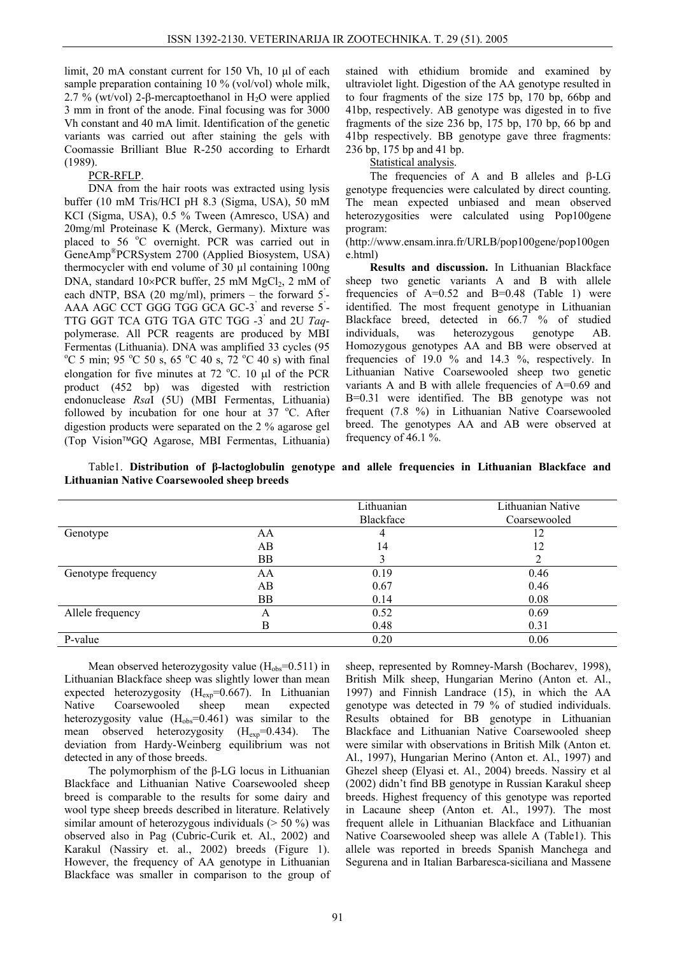limit, 20 mA constant current for 150 Vh, 10 µl of each sample preparation containing 10 % (vol/vol) whole milk, 2.7 % (wt/vol) 2-β-mercaptoethanol in H<sub>2</sub>O were applied 3 mm in front of the anode. Final focusing was for 3000 Vh constant and 40 mA limit. Identification of the genetic variants was carried out after staining the gels with Coomassie Brilliant Blue R-250 according to Erhardt (1989).

## PCR-RFLP.

DNA from the hair roots was extracted using lysis buffer (10 mM Tris/HCI pH 8.3 (Sigma, USA), 50 mM KCI (Sigma, USA), 0.5 % Tween (Amresco, USA) and 20mg/ml Proteinase K (Merck, Germany). Mixture was placed to 56 °C overnight. PCR was carried out in GeneAmp®PCRSystem 2700 (Applied Biosystem, USA) thermocycler with end volume of 30 µl containing 100ng DNA, standard  $10\times$ PCR buffer, 25 mM MgCl<sub>2</sub>, 2 mM of each dNTP, BSA (20 mg/ml), primers – the forward 5<sup>'</sup>-AAA AGC CCT GGG TGG GCA GC-3' and reverse 5' - TTG GGT TCA GTG TGA GTC TGG -3' and 2U *Taq*polymerase. All PCR reagents are produced by MBI Fermentas (Lithuania). DNA was amplified 33 cycles (95  $^{\circ}$ C 5 min; 95  $^{\circ}$ C 50 s, 65  $^{\circ}$ C 40 s, 72  $^{\circ}$ C 40 s) with final elongation for five minutes at  $72 \text{ °C}$ . 10  $\mu$ l of the PCR product (452 bp) was digested with restriction endonuclease *Rsa*I (5U) (MBI Fermentas, Lithuania) followed by incubation for one hour at  $37^{\circ}$ C. After digestion products were separated on the 2 % agarose gel (Top Vision™GQ Agarose, MBI Fermentas, Lithuania)

stained with ethidium bromide and examined by ultraviolet light. Digestion of the AA genotype resulted in to four fragments of the size 175 bp, 170 bp, 66bp and 41bp, respectively. AB genotype was digested in to five fragments of the size 236 bp, 175 bp, 170 bp, 66 bp and 41bp respectively. BB genotype gave three fragments: 236 bp, 175 bp and 41 bp.

Statistical analysis.

The frequencies of A and B alleles and β-LG genotype frequencies were calculated by direct counting. The mean expected unbiased and mean observed heterozygosities were calculated using Pop100gene program:

(http://www.ensam.inra.fr/URLB/pop100gene/pop100gen e.html)

**Results and discussion.** In Lithuanian Blackface sheep two genetic variants A and B with allele frequencies of  $A=0.52$  and  $B=0.48$  (Table 1) were identified. The most frequent genotype in Lithuanian Blackface breed, detected in 66.7 % of studied individuals, was heterozygous genotype AB. Homozygous genotypes AA and BB were observed at frequencies of 19.0 % and 14.3 %, respectively. In Lithuanian Native Coarsewooled sheep two genetic variants A and B with allele frequencies of  $A=0.69$  and B=0.31 were identified. The BB genotype was not frequent (7.8 %) in Lithuanian Native Coarsewooled breed. The genotypes AA and AB were observed at frequency of 46.1 %.

Table1. **Distribution of β-lactoglobulin genotype and allele frequencies in Lithuanian Blackface and Lithuanian Native Coarsewooled sheep breeds** 

|                    |           | Lithuanian<br>Blackface | Lithuanian Native<br>Coarsewooled |
|--------------------|-----------|-------------------------|-----------------------------------|
| Genotype           | AA        |                         | 12                                |
|                    | AВ        | 14                      | 12                                |
|                    | <b>BB</b> |                         |                                   |
| Genotype frequency | AA        | 0.19                    | 0.46                              |
|                    | AВ        | 0.67                    | 0.46                              |
|                    | ΒB        | 0.14                    | 0.08                              |
| Allele frequency   | А         | 0.52                    | 0.69                              |
|                    | B         | 0.48                    | 0.31                              |
| P-value            |           | 0.20                    | 0.06                              |

Mean observed heterozygosity value  $(H_{obs}=0.511)$  in Lithuanian Blackface sheep was slightly lower than mean expected heterozygosity  $(H_{exp}=0.667)$ . In Lithuanian Native Coarsewooled sheep mean expected Native Coarsewooled sheep mean expected heterozygosity value  $(H_{obs}=0.461)$  was similar to the mean observed heterozygosity  $(H_{exp}=0.434)$ . The deviation from Hardy-Weinberg equilibrium was not detected in any of those breeds.

The polymorphism of the β-LG locus in Lithuanian Blackface and Lithuanian Native Coarsewooled sheep breed is comparable to the results for some dairy and wool type sheep breeds described in literature. Relatively similar amount of heterozygous individuals (> 50 %) was observed also in Pag (Cubric-Curik et. Al., 2002) and Karakul (Nassiry et. al., 2002) breeds (Figure 1). However, the frequency of AA genotype in Lithuanian Blackface was smaller in comparison to the group of

sheep, represented by Romney-Marsh (Bocharev, 1998), British Milk sheep, Hungarian Merino (Anton et. Al., 1997) and Finnish Landrace (15), in which the AA genotype was detected in 79 % of studied individuals. Results obtained for BB genotype in Lithuanian Blackface and Lithuanian Native Coarsewooled sheep were similar with observations in British Milk (Anton et. Al., 1997), Hungarian Merino (Anton et. Al., 1997) and Ghezel sheep (Elyasi et. Al., 2004) breeds. Nassiry et al (2002) didn't find BB genotype in Russian Karakul sheep breeds. Highest frequency of this genotype was reported in Lacaune sheep (Anton et. Al., 1997). The most frequent allele in Lithuanian Blackface and Lithuanian Native Coarsewooled sheep was allele A (Table1). This allele was reported in breeds Spanish Manchega and Segurena and in Italian Barbaresca-siciliana and Massene